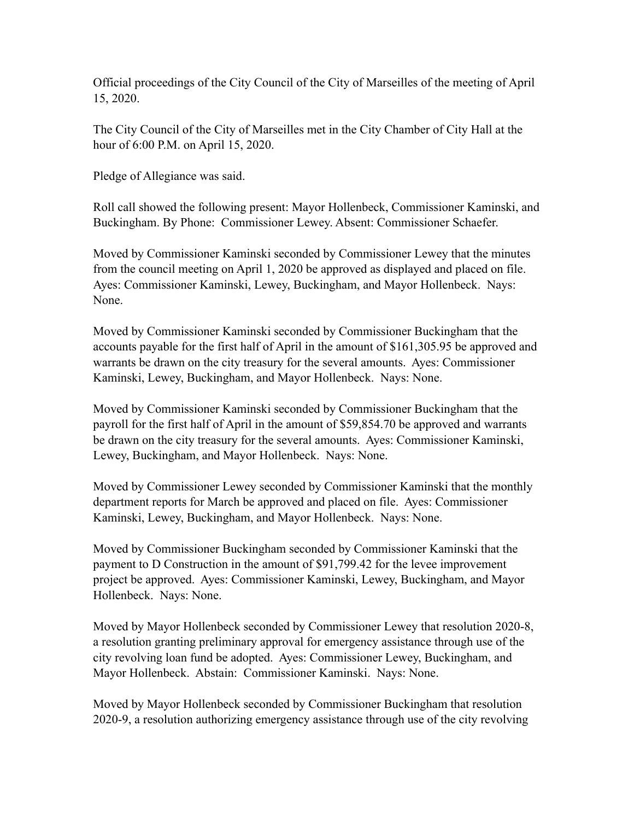Official proceedings of the City Council of the City of Marseilles of the meeting of April 15, 2020.

The City Council of the City of Marseilles met in the City Chamber of City Hall at the hour of 6:00 P.M. on April 15, 2020.

Pledge of Allegiance was said.

Roll call showed the following present: Mayor Hollenbeck, Commissioner Kaminski, and Buckingham. By Phone: Commissioner Lewey. Absent: Commissioner Schaefer.

Moved by Commissioner Kaminski seconded by Commissioner Lewey that the minutes from the council meeting on April 1, 2020 be approved as displayed and placed on file. Ayes: Commissioner Kaminski, Lewey, Buckingham, and Mayor Hollenbeck. Nays: None.

Moved by Commissioner Kaminski seconded by Commissioner Buckingham that the accounts payable for the first half of April in the amount of \$161,305.95 be approved and warrants be drawn on the city treasury for the several amounts. Ayes: Commissioner Kaminski, Lewey, Buckingham, and Mayor Hollenbeck. Nays: None.

Moved by Commissioner Kaminski seconded by Commissioner Buckingham that the payroll for the first half of April in the amount of \$59,854.70 be approved and warrants be drawn on the city treasury for the several amounts. Ayes: Commissioner Kaminski, Lewey, Buckingham, and Mayor Hollenbeck. Nays: None.

Moved by Commissioner Lewey seconded by Commissioner Kaminski that the monthly department reports for March be approved and placed on file. Ayes: Commissioner Kaminski, Lewey, Buckingham, and Mayor Hollenbeck. Nays: None.

Moved by Commissioner Buckingham seconded by Commissioner Kaminski that the payment to D Construction in the amount of \$91,799.42 for the levee improvement project be approved. Ayes: Commissioner Kaminski, Lewey, Buckingham, and Mayor Hollenbeck. Nays: None.

Moved by Mayor Hollenbeck seconded by Commissioner Lewey that resolution 2020-8, a resolution granting preliminary approval for emergency assistance through use of the city revolving loan fund be adopted. Ayes: Commissioner Lewey, Buckingham, and Mayor Hollenbeck. Abstain: Commissioner Kaminski. Nays: None.

Moved by Mayor Hollenbeck seconded by Commissioner Buckingham that resolution 2020-9, a resolution authorizing emergency assistance through use of the city revolving